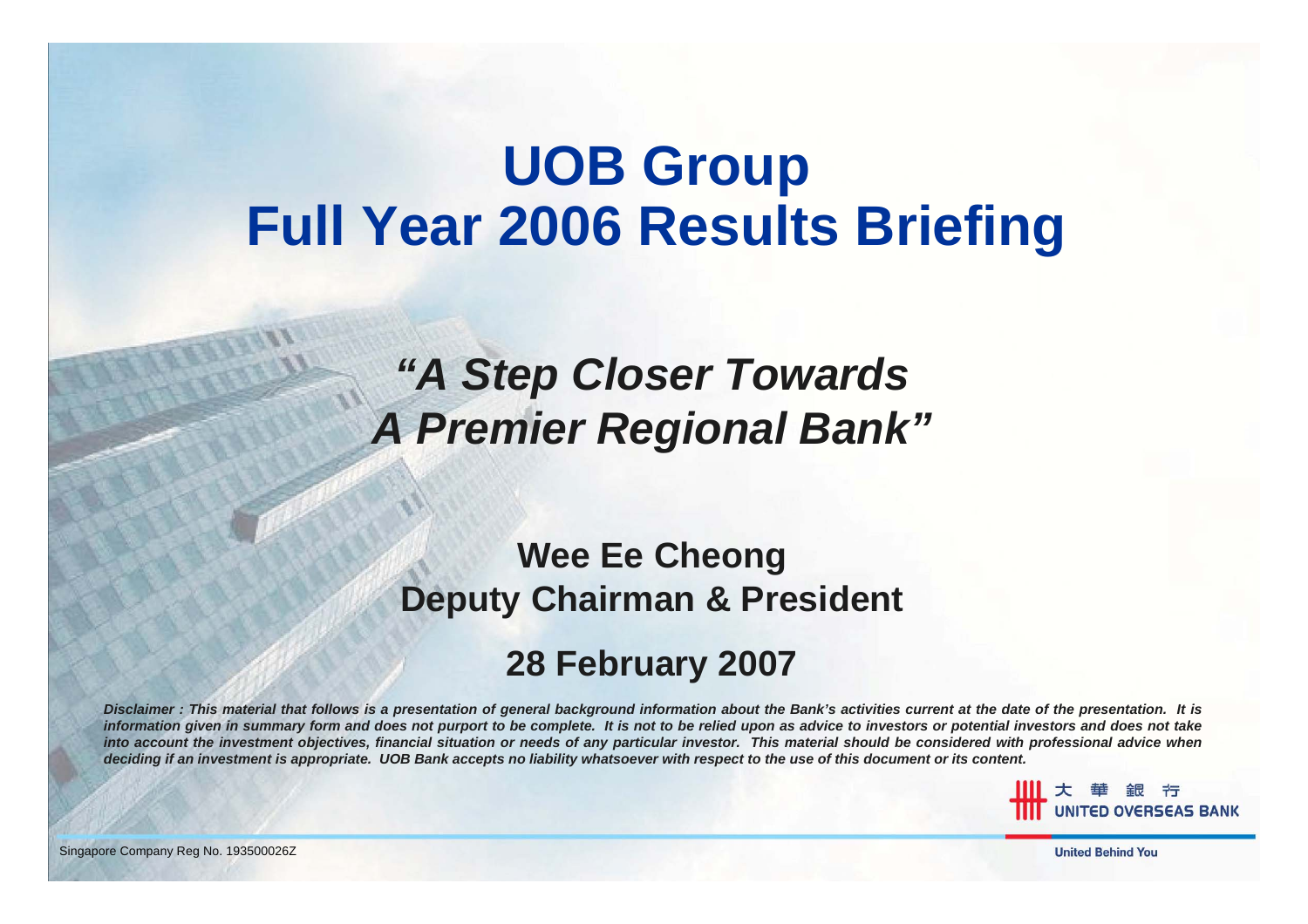# **UOB Group Full Year 2006 Results Briefing**

#### *"A Step Closer Towards A Premier Regional Bank"*

#### **Wee Ee Cheong Deputy Chairman & President**

#### **28 February 2007**

*Disclaimer : This material that follows is a presentation of general background information about the Bank's activities current at the date of the presentation. It is* information given in summary form and does not purport to be complete. It is not to be relied upon as advice to investors or potential investors and does not take *into account the investment objectives, financial situation or needs of any particular investor. This material should be considered with professional advice when deciding if an investment is appropriate. UOB Bank accepts no liability whatsoever with respect to the use of this document or its content.*

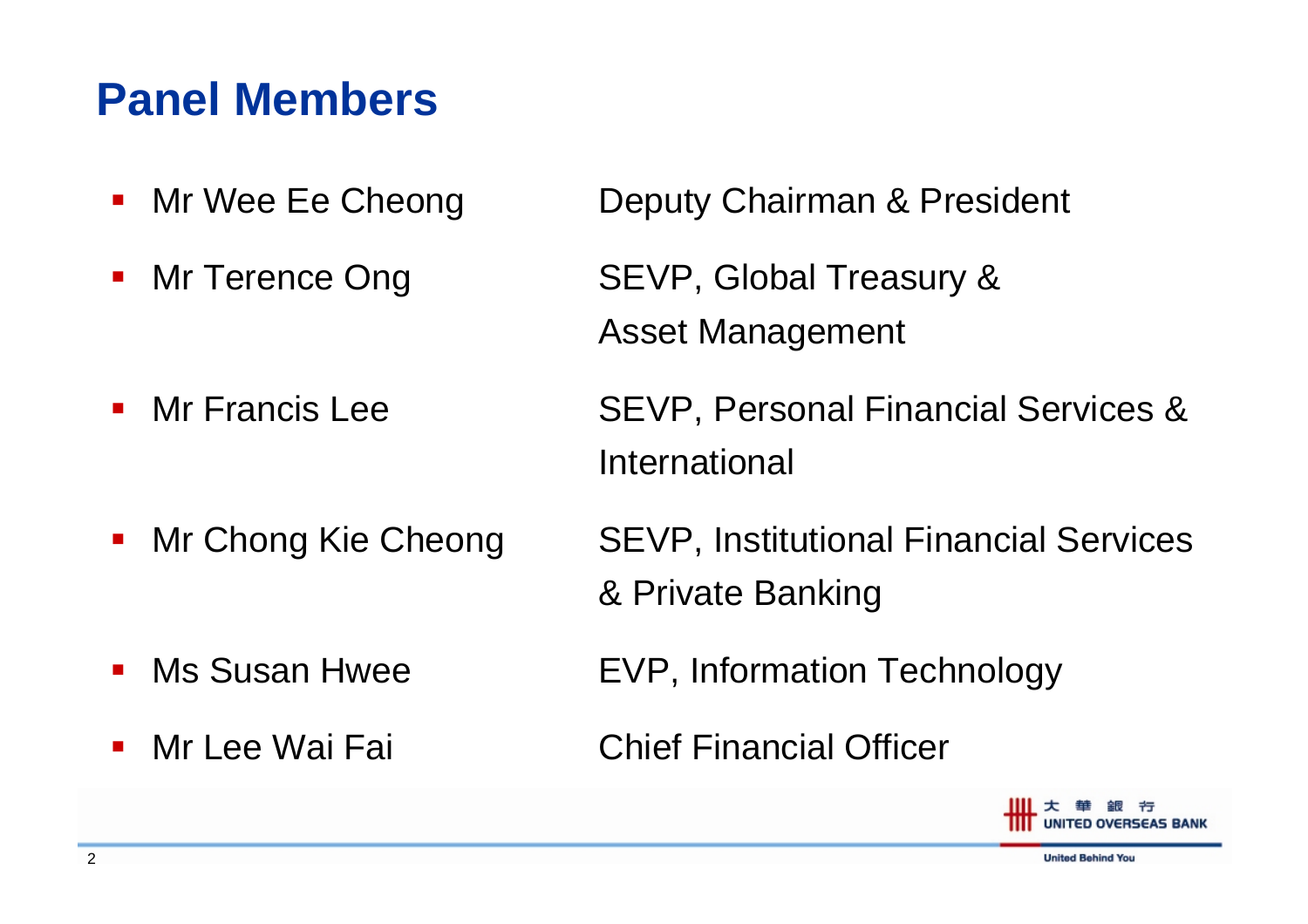#### **Panel Members**

- $\mathcal{L}_{\mathcal{A}}$
- $\overline{\phantom{a}}$

Mr Francis Lee

 $\blacksquare$ 

- an<br>Ma Ms Susan Hwee
- $\mathcal{L}(\mathcal{L})$
- Mr Wee Ee Cheong Deputy Chairman & President
- Mr Terence Ong SEVP, Global Treasury & Asset Management
	- SEVP, Personal Financial Services & International
- Mr Chong Kie Cheong SEVP, Institutional Financial Services & Private Banking
	- EVP, Information Technology
- Mr Lee Wai Fai Chief Financial Officer

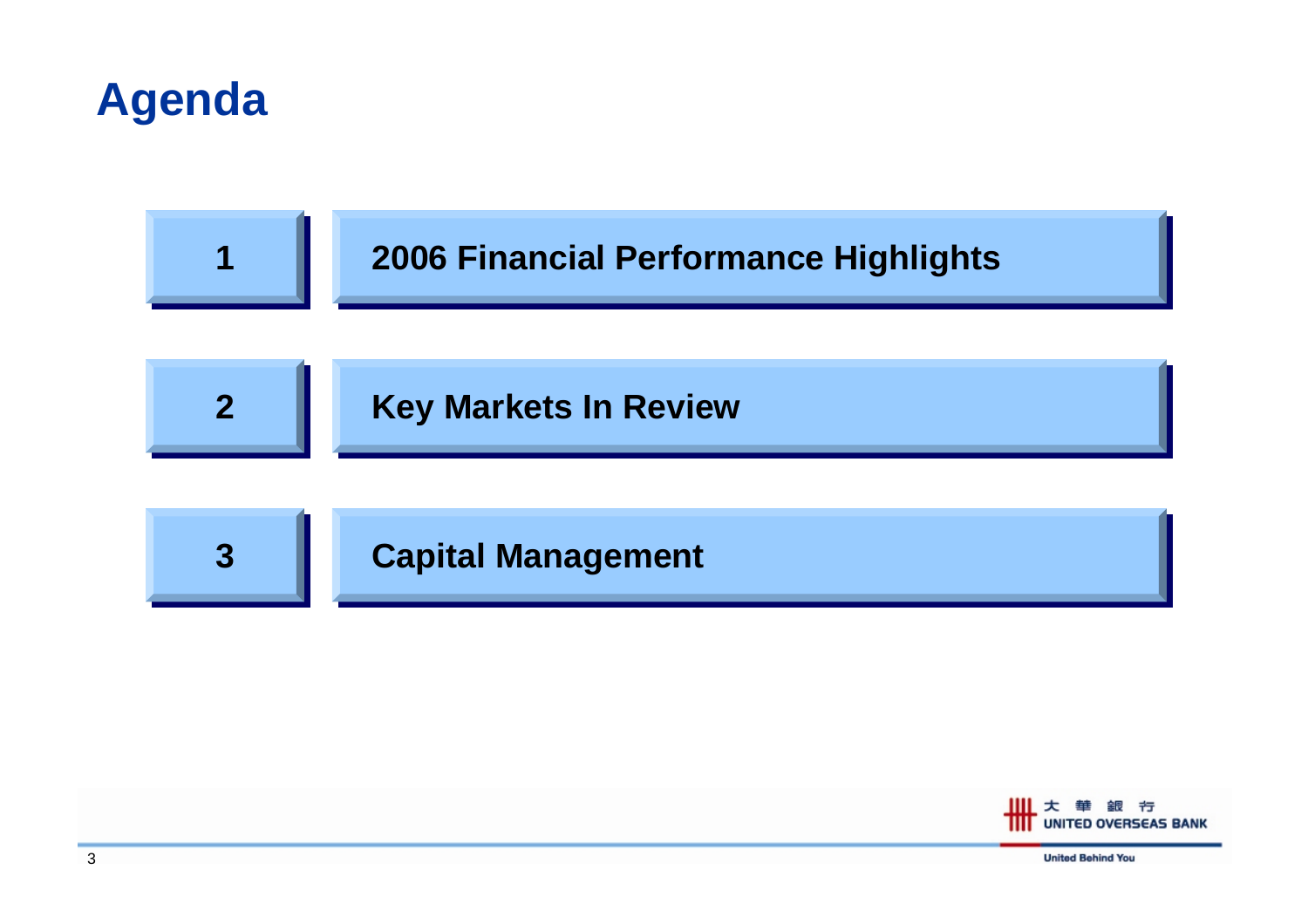



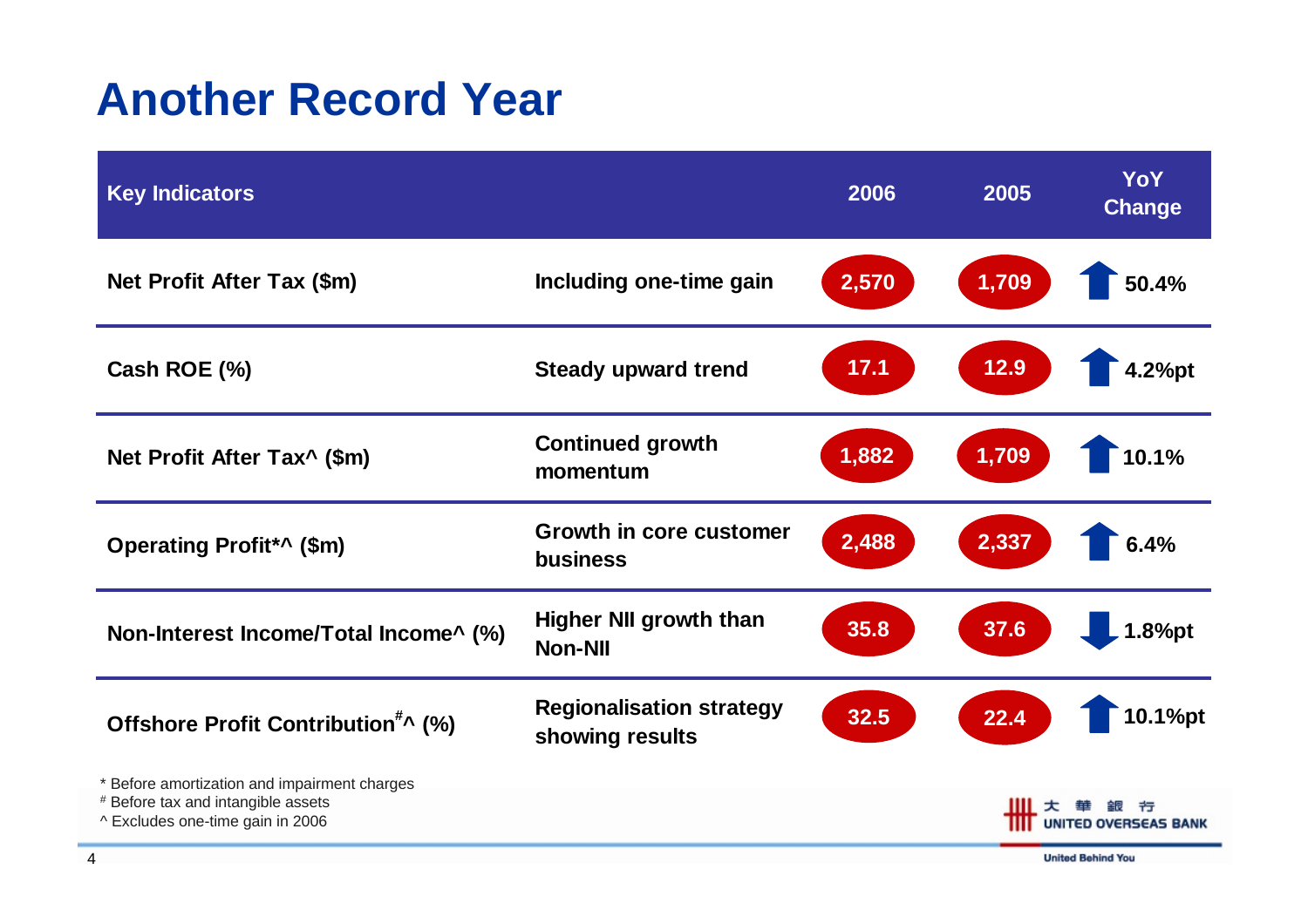#### **Another Record Year**

| <b>Key Indicators</b>                                                                                                  |                                                    | 2006                                  | 2005  | YoY<br><b>Change</b> |
|------------------------------------------------------------------------------------------------------------------------|----------------------------------------------------|---------------------------------------|-------|----------------------|
| Net Profit After Tax (\$m)                                                                                             | Including one-time gain                            | 2,570                                 | 1,709 | 50.4%                |
| Cash ROE (%)                                                                                                           | <b>Steady upward trend</b>                         | 17.1                                  | 12.9  | 4.2%pt               |
| Net Profit After Tax^ (\$m)                                                                                            | <b>Continued growth</b><br>momentum                | 1,882                                 | 1,709 | 10.1%                |
| Operating Profit*^ (\$m)                                                                                               | Growth in core customer<br><b>business</b>         | 2,488                                 | 2,337 | 6.4%                 |
| Non-Interest Income/Total Income^ (%)                                                                                  | <b>Higher NII growth than</b><br><b>Non-NII</b>    | 35.8                                  | 37.6  | 1.8%pt               |
| Offshore Profit Contribution <sup>#</sup> ^ (%)                                                                        | <b>Regionalisation strategy</b><br>showing results | 32.5                                  | 22.4  | 10.1%pt              |
| * Before amortization and impairment charges<br># Before tax and intangible assets<br>^ Excludes one-time gain in 2006 |                                                    | ш<br>节<br><b>UNITED OVERSEAS BANK</b> |       |                      |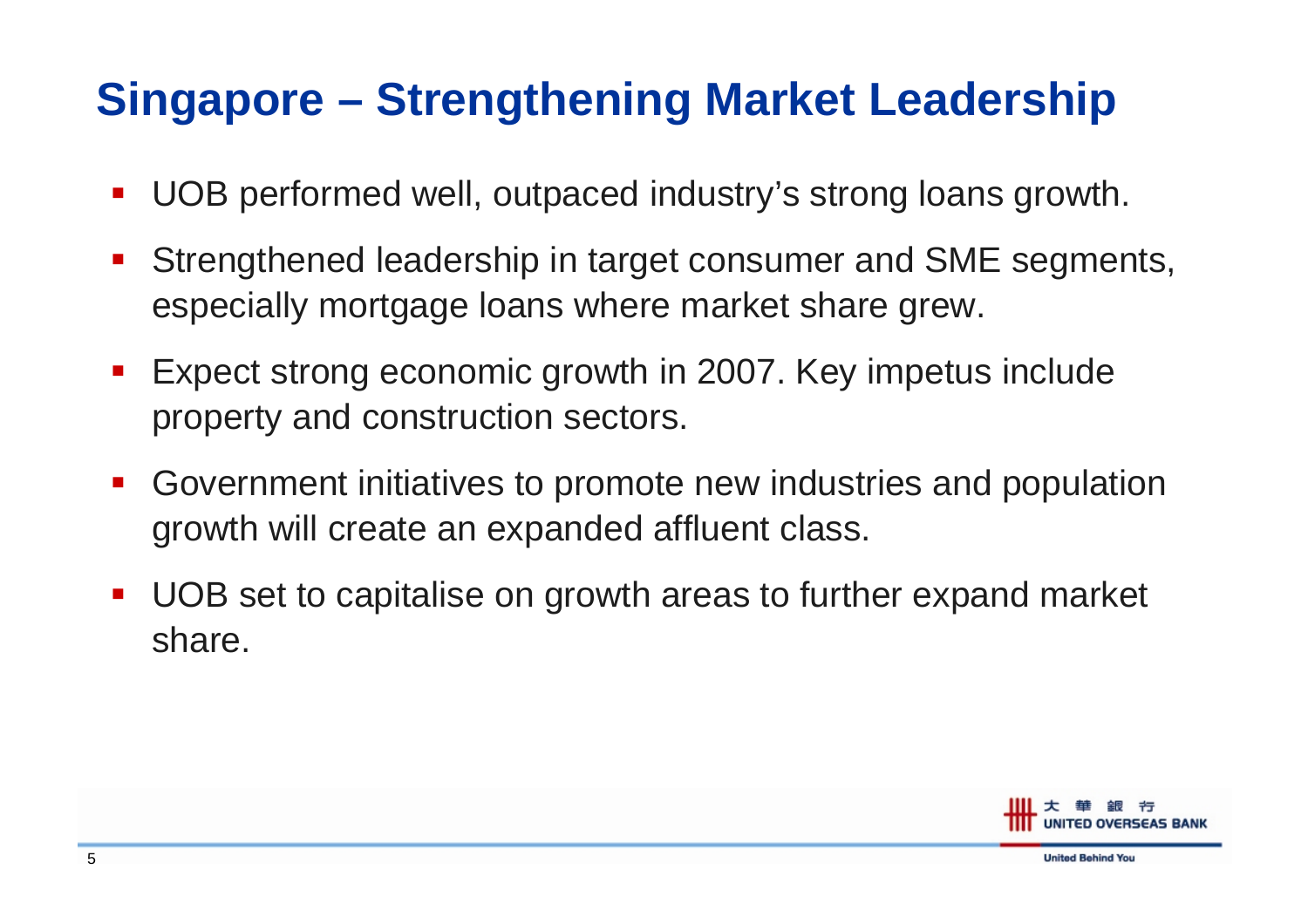### **Singapore – Strengthening Market Leadership**

- an<br>Ma UOB performed well, outpaced industry's strong loans growth.
- $\mathcal{L}(\mathcal{L})$  Strengthened leadership in target consumer and SME segments, especially mortgage loans where market share grew.
- $\mathcal{L}_{\mathcal{A}}$  Expect strong economic growth in 2007. Key impetus include property and construction sectors.
- $\mathcal{L}_{\mathcal{A}}$  Government initiatives to promote new industries and population growth will create an expanded affluent class.
- $\mathcal{L}_{\text{max}}$  UOB set to capitalise on growth areas to further expand market share.

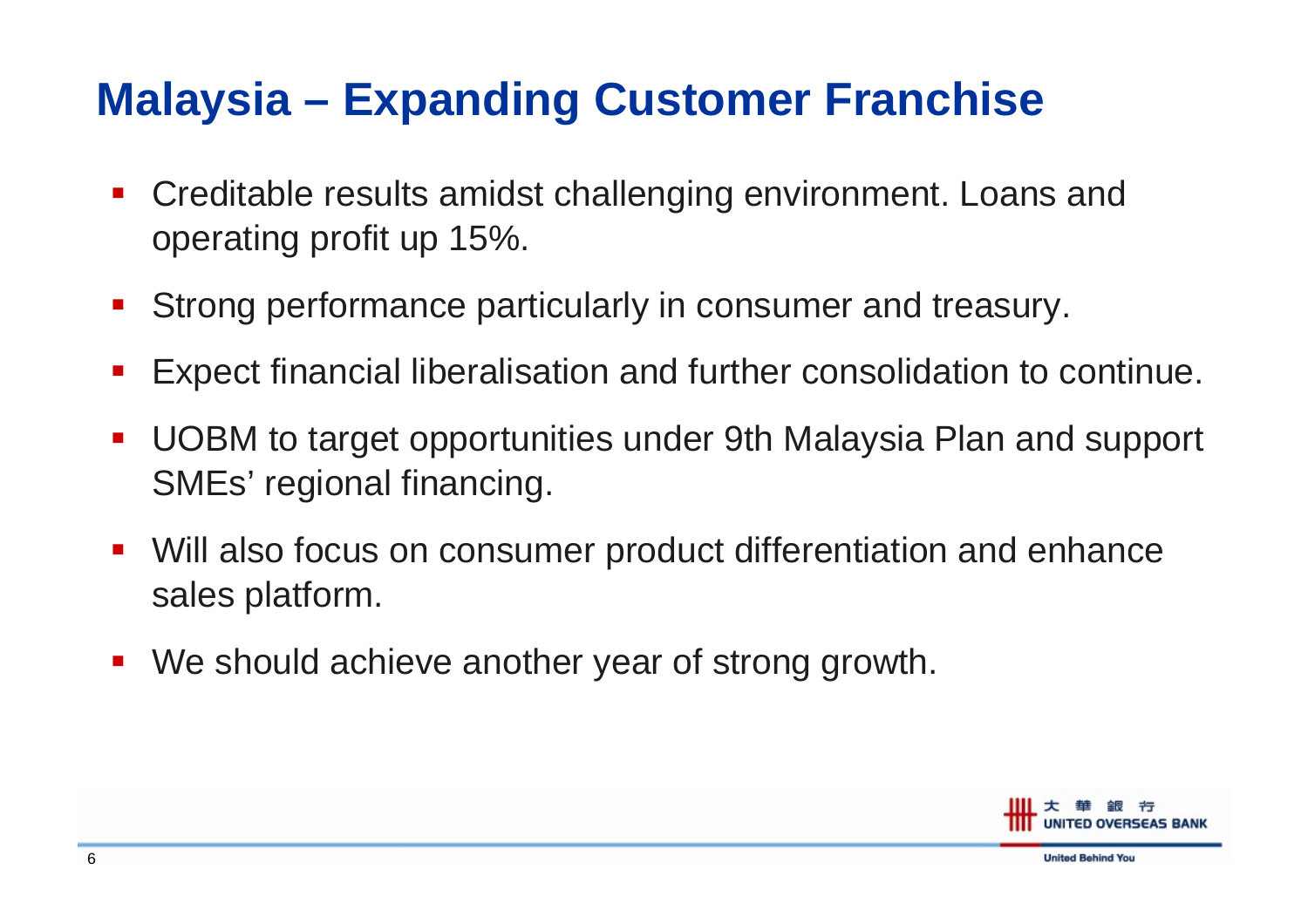#### **Malaysia – Expanding Customer Franchise**

- $\mathcal{L}_{\mathcal{A}}$  Creditable results amidst challenging environment. Loans and operating profit up 15%.
- $\mathcal{L}_{\mathcal{A}}$ Strong performance particularly in consumer and treasury.
- an<br>Ma Expect financial liberalisation and further consolidation to continue.
- $\mathcal{L}_{\mathcal{A}}$  UOBM to target opportunities under 9th Malaysia Plan and support SMEs' regional financing.
- $\mathcal{L}_{\mathcal{A}}$  Will also focus on consumer product differentiation and enhance sales platform.
- an<br>Ma We should achieve another year of strong growth.

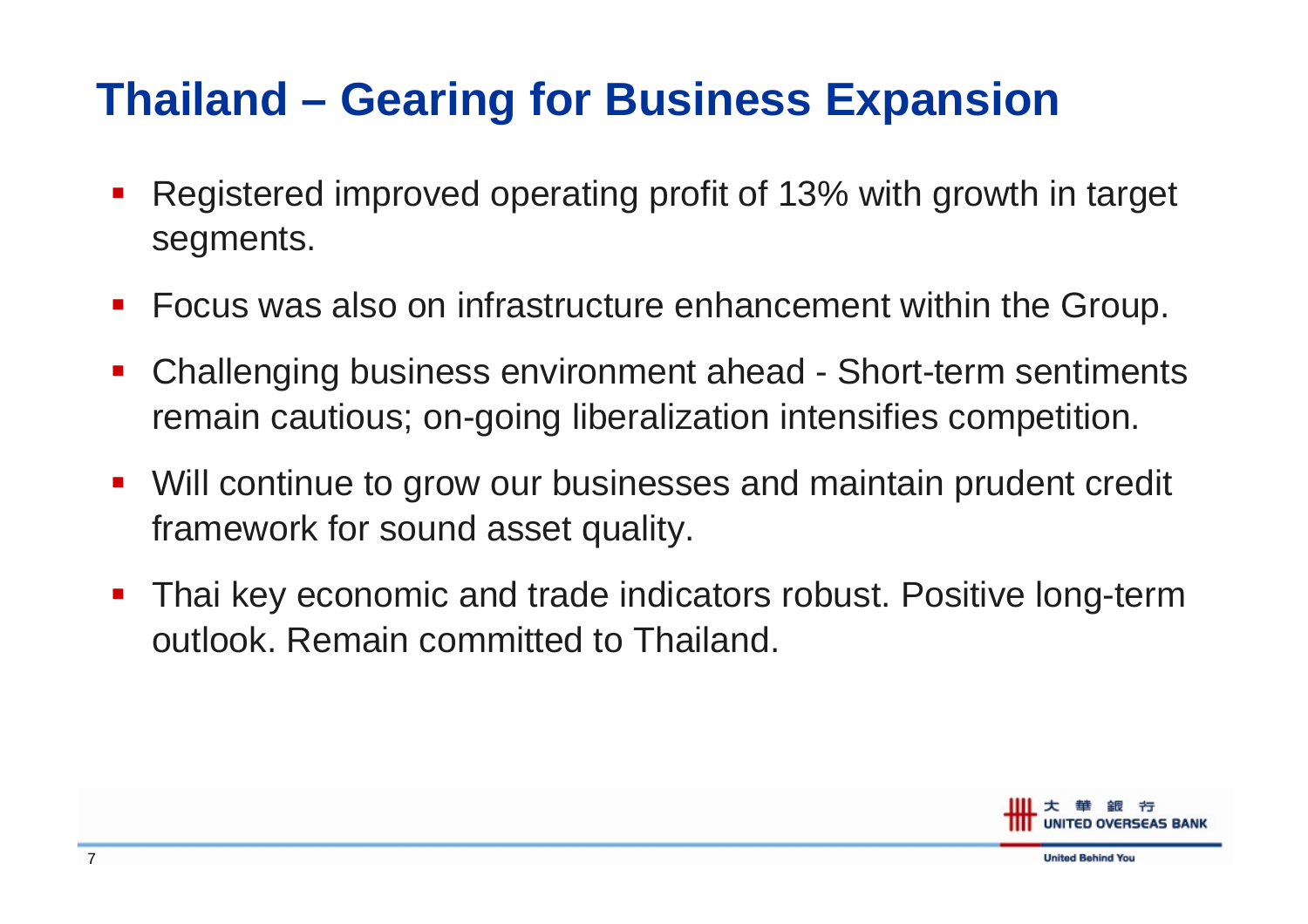#### **Thailand – Gearing for Business Expansion**

- $\mathcal{L}_{\mathcal{A}}$  Registered improved operating profit of 13% with growth in target segments.
- an<br>Ma Focus was also on infrastructure enhancement within the Group.
- an<br>Ma Challenging business environment ahead - Short-term sentiments remain cautious; on-going liberalization intensifies competition.
- $\blacksquare$  Will continue to grow our businesses and maintain prudent credit framework for sound asset quality.
- $\mathcal{L}_{\mathcal{A}}$  Thai key economic and trade indicators robust. Positive long-term outlook. Remain committed to Thailand.

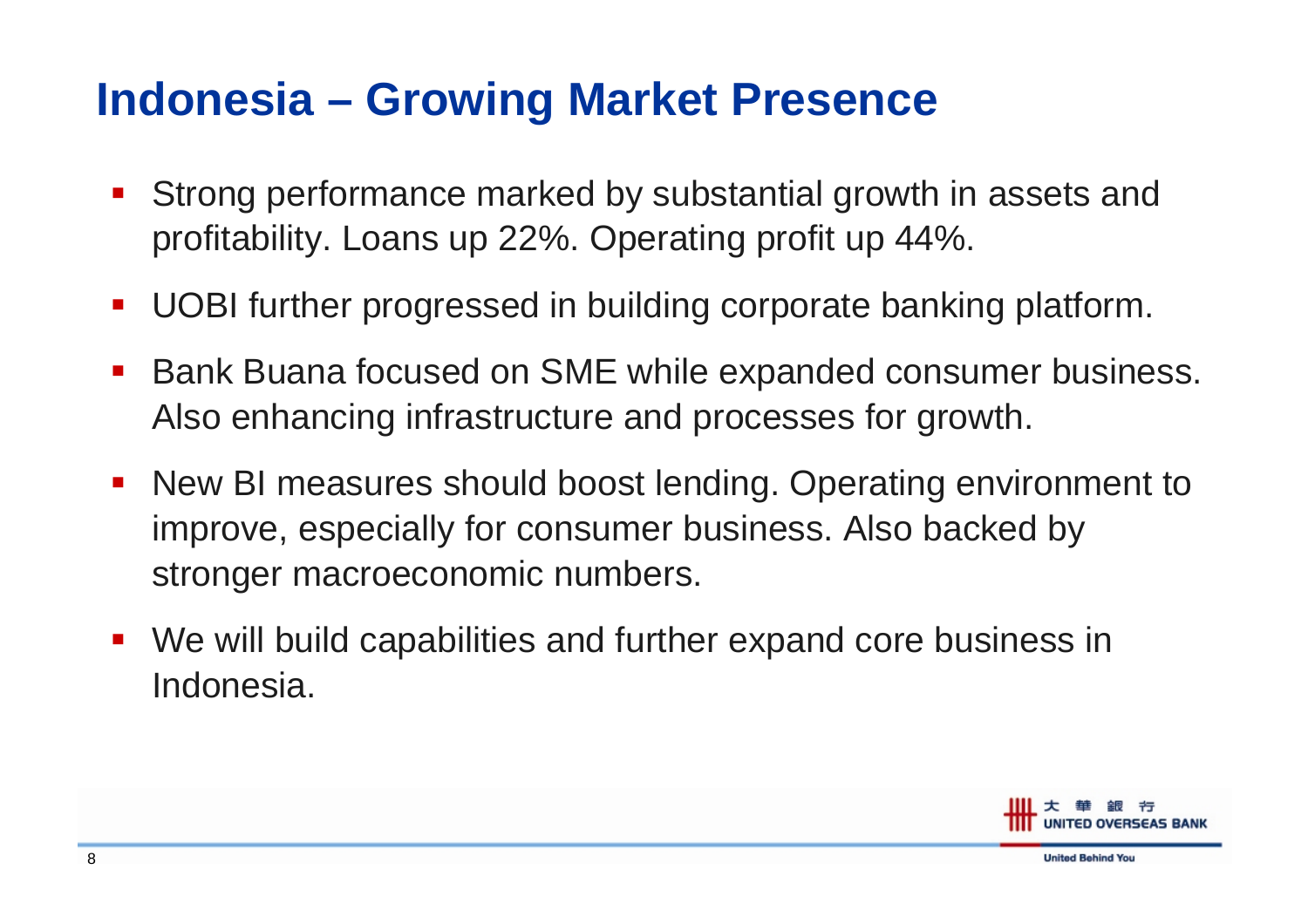#### **Indonesia – Growing Market Presence**

- $\blacksquare$  Strong performance marked by substantial growth in assets and profitability. Loans up 22%. Operating profit up 44%.
- $\mathcal{L}_{\mathcal{A}}$ UOBI further progressed in building corporate banking platform.
- $\mathcal{L}_{\mathcal{A}}$ ■ Bank Buana focused on SME while expanded consumer business. Also enhancing infrastructure and processes for growth.
- New BI measures should boost lending. Operating environment to improve, especially for consumer business. Also backed by stronger macroeconomic numbers.
- an<br>Ma We will build capabilities and further expand core business in Indonesia.

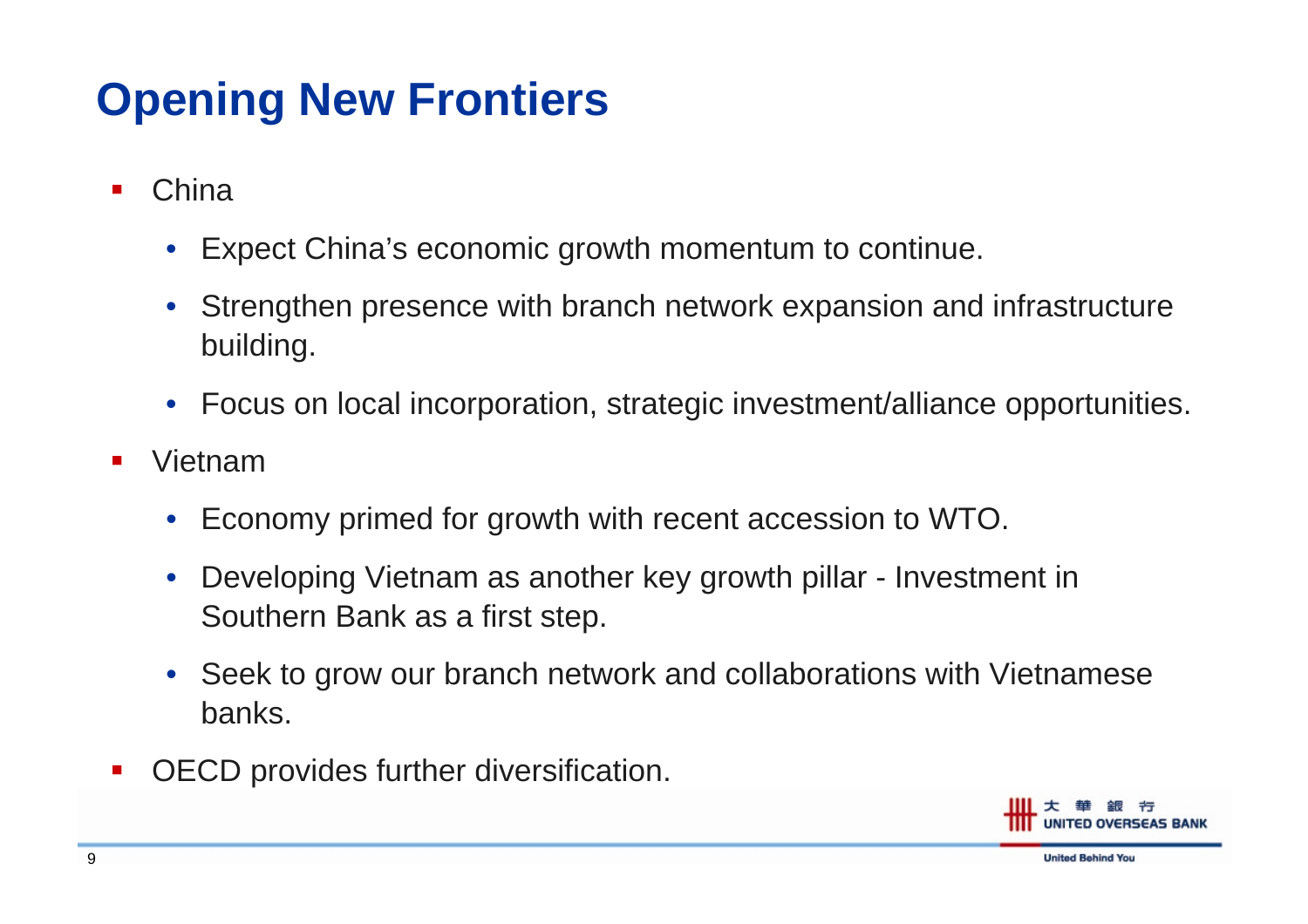## **Opening New Frontiers**

- F. **China** 
	- Expect China's economic growth momentum to continue.
	- Strengthen presence with branch network expansion and infrastructure building.
	- Focus on loc al incorporation, strategic inv estment/alliance opportunities.
- F. Vietnam
	- $\bullet$ Economy primed for growth with recent accession to WTO.
	- $\bullet$  Developing Vietnam as another key growth pillar - Investment in Southern Bank as a first step.
	- Seek to grow our branch network and collaborations with Vietnamese banks.
- F. OECD provides further diversification.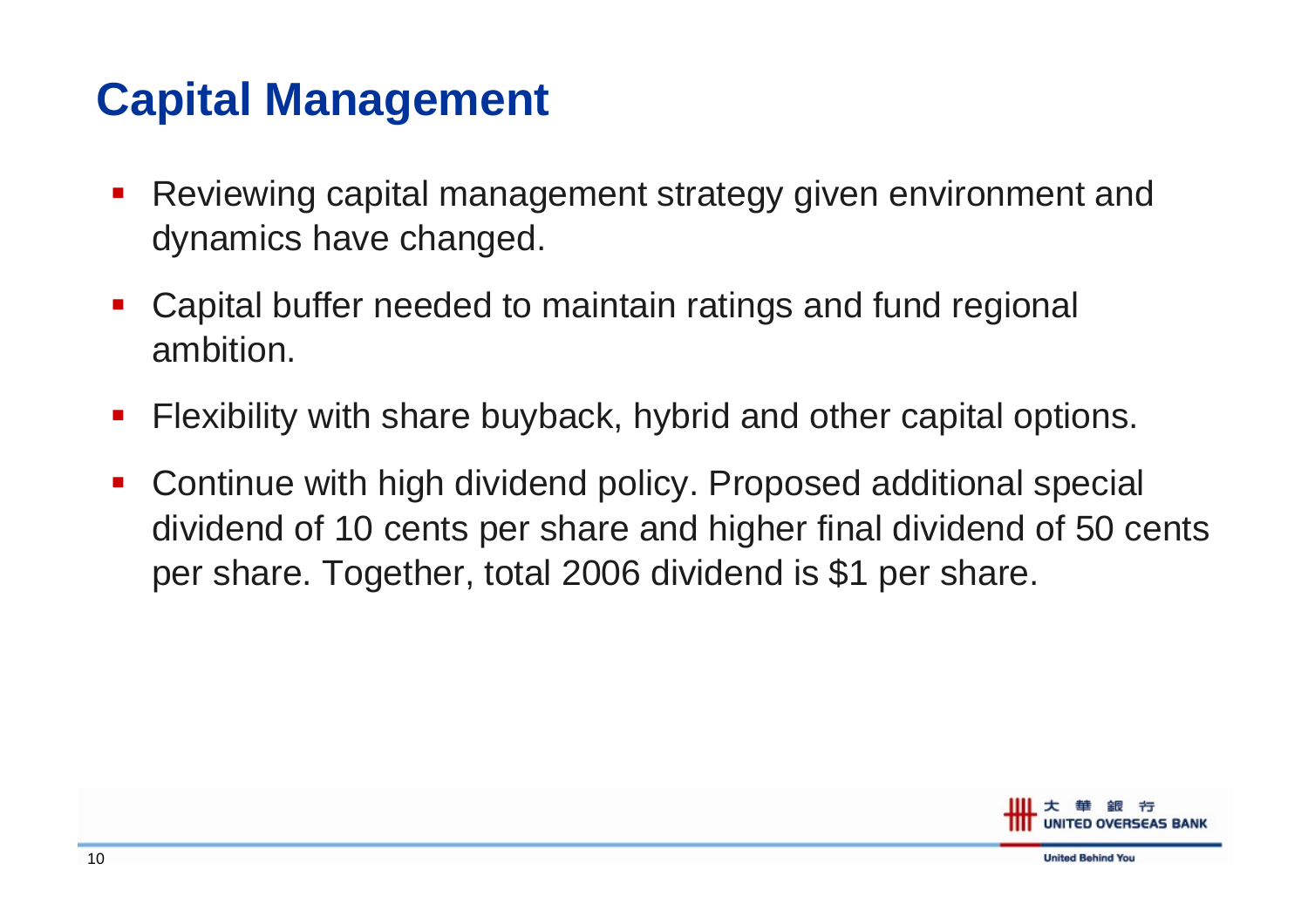#### **Capital Management**

- $\mathcal{L}_{\mathcal{A}}$  Reviewing capital management strategy given environment and dynamics have changed.
- an<br>Ma Capital buffer needed to maintain ratings and fund regional ambition.
- an<br>Ma Flexibility with share buyback, hybrid and other capital options.
- an<br>Ma Continue with high dividend policy. Proposed additional special dividend of 10 cents per share and higher final dividend of 50 cents per share. Together, total 2006 dividend is \$1 per share.